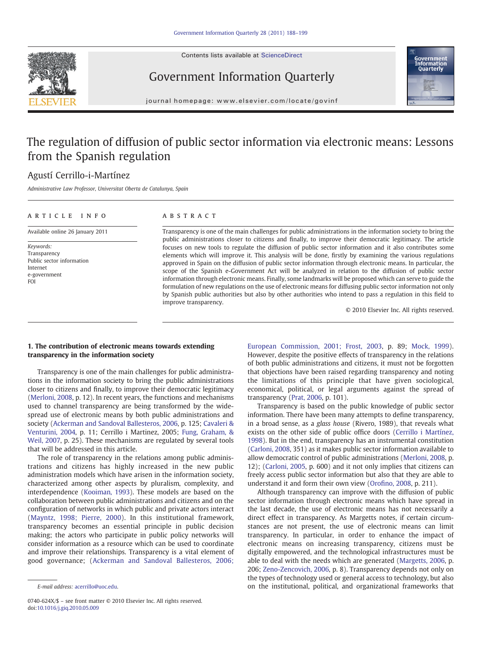Contents lists available at ScienceDirect





## Government Information Quarterly

journal homepage: www.elsevier.com/locate/govinf

# The regulation of diffusion of public sector information via electronic means: Lessons from the Spanish regulation

### Agustí Cerrillo-i-Martínez

Administrative Law Professor, Universitat Oberta de Catalunya, Spain

## article info abstract Available online 26 January 2011

Keywords: Transparency Public sector information

Internet e-government FOI

Transparency is one of the main challenges for public administrations in the information society to bring the public administrations closer to citizens and finally, to improve their democratic legitimacy. The article focuses on new tools to regulate the diffusion of public sector information and it also contributes some elements which will improve it. This analysis will be done, firstly by examining the various regulations approved in Spain on the diffusion of public sector information through electronic means. In particular, the scope of the Spanish e-Government Act will be analyzed in relation to the diffusion of public sector information through electronic means. Finally, some landmarks will be proposed which can serve to guide the formulation of new regulations on the use of electronic means for diffusing public sector information not only by Spanish public authorities but also by other authorities who intend to pass a regulation in this field to improve transparency.

© 2010 Elsevier Inc. All rights reserved.

#### 1. The contribution of electronic means towards extending transparency in the information society

Transparency is one of the main challenges for public administrations in the information society to bring the public administrations closer to citizens and finally, to improve their democratic legitimacy [\(Merloni, 2008,](#page--1-0) p. 12). In recent years, the functions and mechanisms used to channel transparency are being transformed by the widespread use of electronic means by both public administrations and society ([Ackerman and Sandoval Ballesteros, 2006](#page--1-0), p. 125; [Cavaleri &](#page--1-0) [Venturini, 2004,](#page--1-0) p. 11; Cerrillo i Martinez, 2005; [Fung, Graham, &](#page--1-0) [Weil, 2007](#page--1-0), p. 25). These mechanisms are regulated by several tools that will be addressed in this article.

The role of transparency in the relations among public administrations and citizens has highly increased in the new public administration models which have arisen in the information society, characterized among other aspects by pluralism, complexity, and interdependence [\(Kooiman, 1993](#page--1-0)). These models are based on the collaboration between public administrations and citizens and on the configuration of networks in which public and private actors interact [\(Mayntz, 1998; Pierre, 2000\)](#page--1-0). In this institutional framework, transparency becomes an essential principle in public decision making; the actors who participate in public policy networks will consider information as a resource which can be used to coordinate and improve their relationships. Transparency is a vital element of good governance; ([Ackerman and Sandoval Ballesteros, 2006;](#page--1-0)

[European Commission, 2001; Frost, 2003](#page--1-0), p. 89; [Mock, 1999](#page--1-0)). However, despite the positive effects of transparency in the relations of both public administrations and citizens, it must not be forgotten that objections have been raised regarding transparency and noting the limitations of this principle that have given sociological, economical, political, or legal arguments against the spread of transparency [\(Prat, 2006](#page--1-0), p. 101).

Transparency is based on the public knowledge of public sector information. There have been many attempts to define transparency, in a broad sense, as a glass house (Rivero, 1989), that reveals what exists on the other side of public office doors [\(Cerrillo i Martínez,](#page--1-0) [1998\)](#page--1-0). But in the end, transparency has an instrumental constitution [\(Carloni, 2008](#page--1-0), 351) as it makes public sector information available to allow democratic control of public administrations [\(Merloni, 2008](#page--1-0), p. 12); [\(Carloni, 2005,](#page--1-0) p. 600) and it not only implies that citizens can freely access public sector information but also that they are able to understand it and form their own view (Orofi[no, 2008,](#page--1-0) p. 211).

Although transparency can improve with the diffusion of public sector information through electronic means which have spread in the last decade, the use of electronic means has not necessarily a direct effect in transparency. As Margetts notes, if certain circumstances are not present, the use of electronic means can limit transparency. In particular, in order to enhance the impact of electronic means on increasing transparency, citizens must be digitally empowered, and the technological infrastructures must be able to deal with the needs which are generated ([Margetts, 2006,](#page--1-0) p. 206; [Zeno-Zencovich, 2006,](#page--1-0) p. 8). Transparency depends not only on the types of technology used or general access to technology, but also on the institutional, political, and organizational frameworks that

E-mail address: [acerrillo@uoc.edu.](mailto:acerrillo@uoc.edu)

<sup>0740-624</sup>X/\$ – see front matter © 2010 Elsevier Inc. All rights reserved. doi[:10.1016/j.giq.2010.05.009](http://dx.doi.org/10.1016/j.giq.2010.05.009)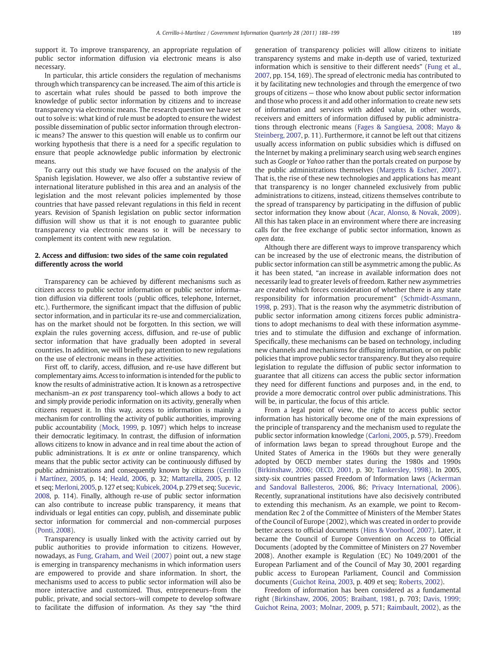support it. To improve transparency, an appropriate regulation of public sector information diffusion via electronic means is also necessary.

In particular, this article considers the regulation of mechanisms through which transparency can be increased. The aim of this article is to ascertain what rules should be passed to both improve the knowledge of public sector information by citizens and to increase transparency via electronic means. The research question we have set out to solve is: what kind of rule must be adopted to ensure the widest possible dissemination of public sector information through electronic means? The answer to this question will enable us to confirm our working hypothesis that there is a need for a specific regulation to ensure that people acknowledge public information by electronic means.

To carry out this study we have focused on the analysis of the Spanish legislation. However, we also offer a substantive review of international literature published in this area and an analysis of the legislation and the most relevant policies implemented by those countries that have passed relevant regulations in this field in recent years. Revision of Spanish legislation on public sector information diffusion will show us that it is not enough to guarantee public transparency via electronic means so it will be necessary to complement its content with new regulation.

#### 2. Access and diffusion: two sides of the same coin regulated differently across the world

Transparency can be achieved by different mechanisms such as citizen access to public sector information or public sector information diffusion via different tools (public offices, telephone, Internet, etc.). Furthermore, the significant impact that the diffusion of public sector information, and in particular its re-use and commercialization, has on the market should not be forgotten. In this section, we will explain the rules governing access, diffusion, and re-use of public sector information that have gradually been adopted in several countries. In addition, we will briefly pay attention to new regulations on the use of electronic means in these activities.

First off, to clarify, access, diffusion, and re-use have different but complementary aims. Access to information is intended for the public to know the results of administrative action. It is known as a retrospective mechanism–an ex post transparency tool–which allows a body to act and simply provide periodic information on its activity, generally when citizens request it. In this way, access to information is mainly a mechanism for controlling the activity of public authorities, improving public accountability [\(Mock, 1999,](#page--1-0) p. 1097) which helps to increase their democratic legitimacy. In contrast, the diffusion of information allows citizens to know in advance and in real time about the action of public administrations. It is ex ante or online transparency, which means that the public sector activity can be continuously diffused by public administrations and consequently known by citizens [\(Cerrillo](#page--1-0) [i Martínez, 2005,](#page--1-0) p. 14; [Heald, 2006](#page--1-0), p. 32; [Mattarella, 2005](#page--1-0), p. 12 et seq; [Merloni, 2005,](#page--1-0) p. 127 et seq; [Kubicek, 2004](#page--1-0), p. 279 et seq; [Sucevic,](#page--1-0) [2008](#page--1-0), p. 114). Finally, although re-use of public sector information can also contribute to increase public transparency, it means that individuals or legal entities can copy, publish, and disseminate public sector information for commercial and non-commercial purposes [\(Ponti, 2008](#page--1-0)).

Transparency is usually linked with the activity carried out by public authorities to provide information to citizens. However, nowadays, as [Fung, Graham, and Weil \(2007\)](#page--1-0) point out, a new stage is emerging in transparency mechanisms in which information users are empowered to provide and share information. In short, the mechanisms used to access to public sector information will also be more interactive and customized. Thus, entrepreneurs–from the public, private, and social sectors–will compete to develop software to facilitate the diffusion of information. As they say "the third generation of transparency policies will allow citizens to initiate transparency systems and make in-depth use of varied, texturized information which is sensitive to their different needs" ([Fung et al.,](#page--1-0) [2007,](#page--1-0) pp. 154, 169). The spread of electronic media has contributed to it by facilitating new technologies and through the emergence of two groups of citizens — those who know about public sector information and those who process it and add other information to create new sets of information and services with added value, in other words, receivers and emitters of information diffused by public administrations through electronic means ([Fages & Sangüesa, 2008; Mayo &](#page--1-0) [Steinberg, 2007,](#page--1-0) p. 11). Furthermore, it cannot be left out that citizens usually access information on public subsidies which is diffused on the Internet by making a preliminary search using web search engines such as Google or Yahoo rather than the portals created on purpose by the public administrations themselves [\(Margetts & Escher, 2007](#page--1-0)). That is, the rise of these new technologies and applications has meant that transparency is no longer channeled exclusively from public administrations to citizens, instead, citizens themselves contribute to the spread of transparency by participating in the diffusion of public sector information they know about [\(Acar, Alonso, & Novak, 2009](#page--1-0)). All this has taken place in an environment where there are increasing calls for the free exchange of public sector information, known as open data.

Although there are different ways to improve transparency which can be increased by the use of electronic means, the distribution of public sector information can still be asymmetric among the public. As it has been stated, "an increase in available information does not necessarily lead to greater levels of freedom. Rather new asymmetries are created which forces consideration of whether there is any state responsibility for information procurement" ([Schmidt-Assmann,](#page--1-0) [1998,](#page--1-0) p. 293). That is the reason why the asymmetric distribution of public sector information among citizens forces public administrations to adopt mechanisms to deal with these information asymmetries and to stimulate the diffusion and exchange of information. Specifically, these mechanisms can be based on technology, including new channels and mechanisms for diffusing information, or on public policies that improve public sector transparency. But they also require legislation to regulate the diffusion of public sector information to guarantee that all citizens can access the public sector information they need for different functions and purposes and, in the end, to provide a more democratic control over public administrations. This will be, in particular, the focus of this article.

From a legal point of view, the right to access public sector information has historically become one of the main expressions of the principle of transparency and the mechanism used to regulate the public sector information knowledge ([Carloni, 2005,](#page--1-0) p. 579). Freedom of information laws began to spread throughout Europe and the United States of America in the 1960s but they were generally adopted by OECD member states during the 1980s and 1990s [\(Birkinshaw, 2006; OECD, 2001,](#page--1-0) p. 30; [Tankersley, 1998](#page--1-0)). In 2005, sixty-six countries passed Freedom of Information laws ([Ackerman](#page--1-0) [and Sandoval Ballesteros, 2006](#page--1-0), 86; [Privacy International, 2006](#page--1-0)). Recently, supranational institutions have also decisively contributed to extending this mechanism. As an example, we point to Recommendation Rec 2 of the Committee of Ministers of the Member States of the Council of Europe (2002), which was created in order to provide better access to official documents ([Hins & Voorhoof, 2007\)](#page--1-0). Later, it became the Council of Europe Convention on Access to Official Documents (adopted by the Committee of Ministers on 27 November 2008). Another example is Regulation (EC) No 1049/2001 of the European Parliament and of the Council of May 30, 2001 regarding public access to European Parliament, Council and Commission documents ([Guichot Reina, 2003](#page--1-0), p. 409 et seq; [Roberts, 2002](#page--1-0)).

Freedom of information has been considered as a fundamental right ([Birkinshaw, 2006, 2005; Braibant, 1981,](#page--1-0) p. 703; [Davis, 1999;](#page--1-0) [Guichot Reina, 2003; Molnar, 2009,](#page--1-0) p. 571; [Raimbault, 2002](#page--1-0)), as the